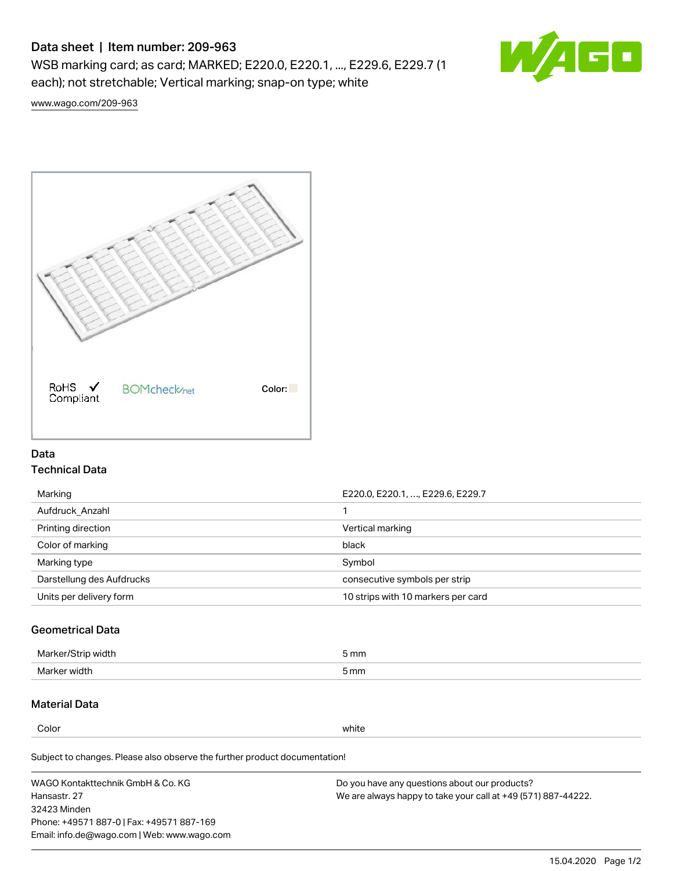# Data sheet | Item number: 209-963

WSB marking card; as card; MARKED; E220.0, E220.1, ..., E229.6, E229.7 (1 each); not stretchable; Vertical marking; snap-on type; white



[www.wago.com/209-963](http://www.wago.com/209-963)



## Data Technical Data

| Marking                   | E220.0, E220.1, , E229.6, E229.7   |
|---------------------------|------------------------------------|
| Aufdruck Anzahl           |                                    |
| Printing direction        | Vertical marking                   |
| Color of marking          | black                              |
| Marking type              | Symbol                             |
| Darstellung des Aufdrucks | consecutive symbols per strip      |
| Units per delivery form   | 10 strips with 10 markers per card |

## Geometrical Data

| طلقاء ئ<br><b>Marker</b><br>widtr | ັກmm |
|-----------------------------------|------|
| Marker width                      | 5 mm |

# Material Data

Color white

Subject to changes. Please also observe the further product documentation!

WAGO Kontakttechnik GmbH & Co. KG Hansastr. 27 32423 Minden Phone: +49571 887-0 | Fax: +49571 887-169 Email: info.de@wago.com | Web: www.wago.com Do you have any questions about our products? We are always happy to take your call at +49 (571) 887-44222.